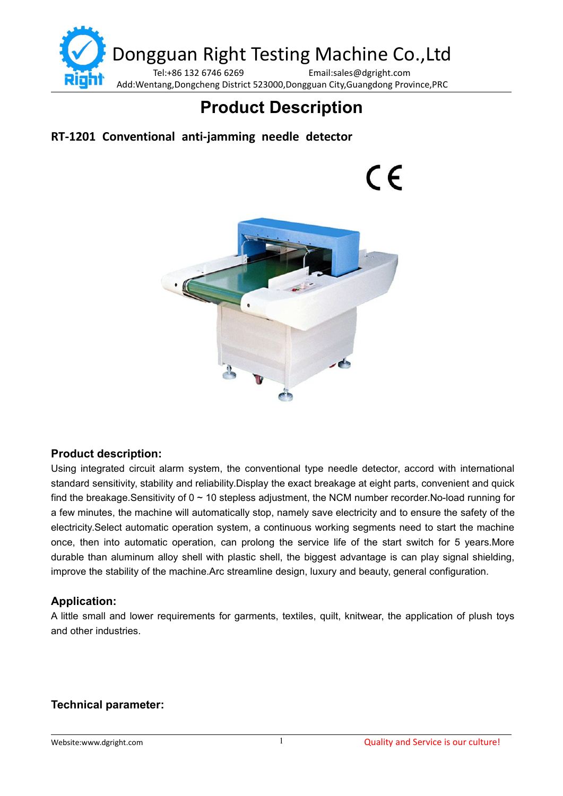

# **Product Description**

## **RT-1201 Conventional anti-jamming needle detector**

 $\epsilon$ 



#### **Product description:**

Using integrated circuit alarm system, the conventional type needle detector, accord with international standard sensitivity, stability and reliability.Display the exact breakage at eight parts, convenient and quick find the breakage.Sensitivity of 0 ~ 10 stepless adjustment, the NCM number recorder.No-load running for a few minutes, the machine will automatically stop, namely save electricity and to ensure the safety of the electricity.Select automatic operation system, a continuous working segments need to start the machine once, then into automatic operation, can prolong the service life of the start switch for 5 years.More durable than aluminum alloy shell with plastic shell, the biggest advantage iscan play signal shielding, improve the stability of the machine.Arc streamline design, luxury and beauty, general configuration.

#### **Application:**

A little small and lower requirements for garments, textiles, quilt, knitwear, the application of plush toys and other industries.

### **Technical parameter:**